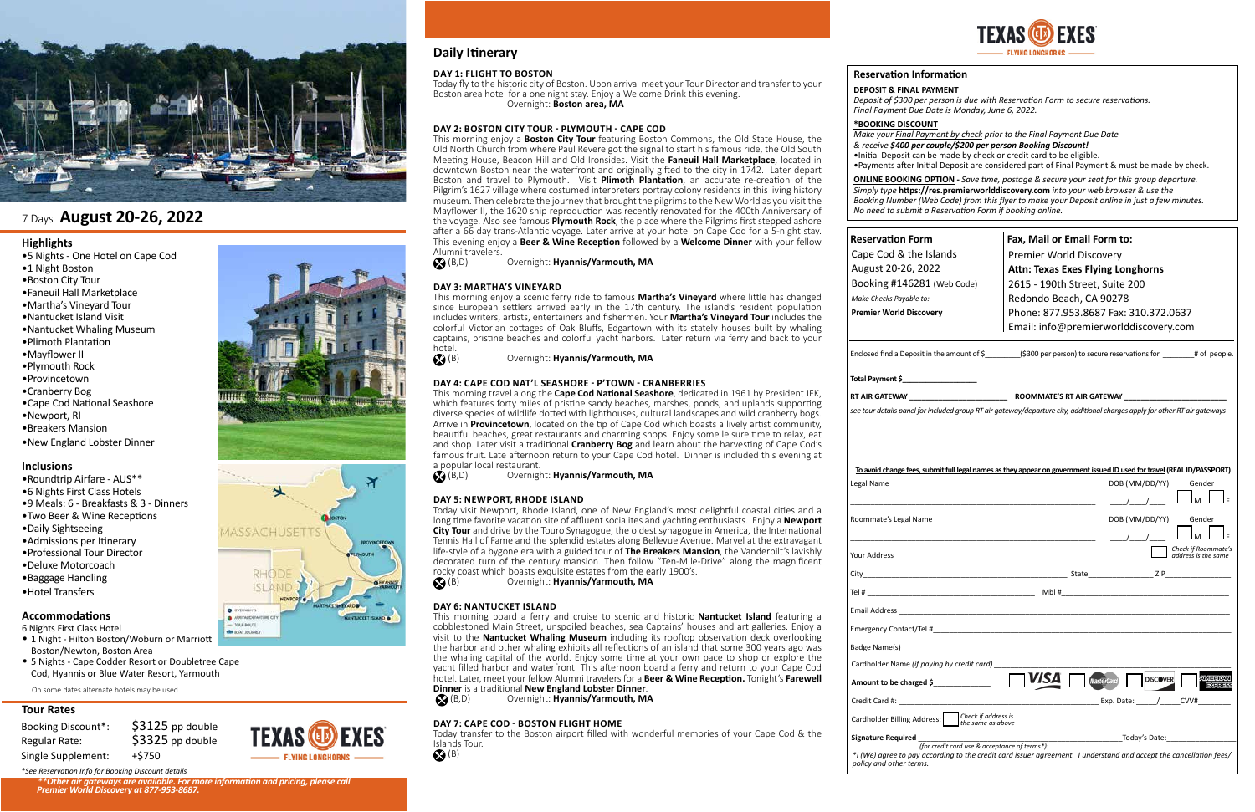## **Daily Itinerary**

## **Highlights**

- •5 Nights One Hotel on Cape Cod
- •1 Night Boston
- •Boston City Tour
- •Faneuil Hall Marketplace
- •Martha's Vineyard Tour
- •Nantucket Island Visit
- •Nantucket Whaling Museum
- •Plimoth Plantation
- •Mayflower II
- •Plymouth Rock
- •Provincetown
- •Cranberry Bog
- •Cape Cod National Seashore
- •Newport, RI
- •Breakers Mansion
- •New England Lobster Dinner

## **Inclusions**

- •Roundtrip Airfare AUS\*\*
- •6 Nights First Class Hotels
- •9 Meals: 6 Breakfasts & 3 Dinners
- •Two Beer & Wine Receptions
- •Daily Sightseeing
- •Admissions per Itinerary
- •Professional Tour Director
- •Deluxe Motorcoach
- •Baggage Handling
- •Hotel Transfers

## **Accommodations**

- 6 Nights First Class Hotel • 1 Night - Hilton Boston/Woburn or Marriott
- Boston/Newton, Boston Area
- 5 Nights Cape Codder Resort or Doubletree Cape Cod, Hyannis or Blue Water Resort, Yarmouth



## 7 Days **August 20-26, 2022**

## **Tour Rates**

| <b>Booking Discount*:</b> |
|---------------------------|
| Regular Rate:             |
| Single Supplement:        |

| <u>Io avoid change fees, submit full legal names as they appear on government issued ID used for travel (REAL ID/PASSPORT)</u>                                                                                                        |                   |                 |                                            |
|---------------------------------------------------------------------------------------------------------------------------------------------------------------------------------------------------------------------------------------|-------------------|-----------------|--------------------------------------------|
| Legal Name                                                                                                                                                                                                                            |                   | DOB (MM/DD/YY)  | Gender                                     |
|                                                                                                                                                                                                                                       |                   |                 |                                            |
|                                                                                                                                                                                                                                       |                   |                 |                                            |
| Roommate's Legal Name                                                                                                                                                                                                                 |                   | DOB (MM/DD/YY)  | Gender                                     |
|                                                                                                                                                                                                                                       |                   |                 |                                            |
|                                                                                                                                                                                                                                       |                   |                 | Check if Roommate's<br>address is the same |
|                                                                                                                                                                                                                                       |                   |                 |                                            |
|                                                                                                                                                                                                                                       |                   |                 |                                            |
|                                                                                                                                                                                                                                       |                   |                 |                                            |
|                                                                                                                                                                                                                                       |                   |                 |                                            |
|                                                                                                                                                                                                                                       |                   |                 |                                            |
| Cardholder Name (if paying by credit card)                                                                                                                                                                                            |                   |                 |                                            |
| Amount to be charged \$                                                                                                                                                                                                               | <b>MasterCard</b> | <b>DISCOVER</b> | <b>AMERICAL</b><br><b>EXPRES</b>           |
|                                                                                                                                                                                                                                       |                   |                 |                                            |
|                                                                                                                                                                                                                                       |                   |                 |                                            |
| Signature Required<br>for credit card use & acceptance of terms*):<br>Today's Date:<br>The Base of terms of terms and the manuscription of terms and the manuscription of the manuscription of terms<br>The Base of terms and the man |                   |                 |                                            |
| *I (We) agree to pay according to the credit card issuer agreement. I understand and accept the cancellation fees/                                                                                                                    |                   |                 |                                            |
| policy and other terms.                                                                                                                                                                                                               |                   |                 |                                            |

**ING LONGHORNS** 



This morning enjoy a **Boston City Tour** featuring Boston Commons, the Old State House, the Old North Church from where Paul Revere got the signal to start his famous ride, the Old South Meeting House, Beacon Hill and Old Ironsides. Visit the **Faneuil Hall Marketplace**, located in downtown Boston near the waterfront and originally gifted to the city in 1742. Later depart Boston and travel to Plymouth. Visit **Plimoth Plantation**, an accurate re-creation of the Pilgrim's 1627 village where costumed interpreters portray colony residents in this living history museum. Then celebrate the journey that brought the pilgrims to the New World as you visit the Mayflower II, the 1620 ship reproduction was recently renovated for the 400th Anniversary of the voyage. Also see famous **Plymouth Rock**, the place where the Pilgrims first stepped ashore after a 66 day trans-Atlantic voyage. Later arrive at your hotel on Cape Cod for a 5-night stay. This evening enjoy a **Beer & Wine Reception** followed by a **Welcome Dinner** with your fellow Alumni travelers.<br> **A** (B,D)

| <b>Reservation Form</b>        | Fax, Mail or Email Form to:                                                                                                     |
|--------------------------------|---------------------------------------------------------------------------------------------------------------------------------|
| Cape Cod & the Islands         | Premier World Discovery                                                                                                         |
| August 20-26, 2022             | <b>Attn: Texas Exes Flying Longhorns</b>                                                                                        |
| Booking #146281 (Web Code)     | 2615 - 190th Street, Suite 200                                                                                                  |
| Make Checks Payable to:        | Redondo Beach, CA 90278                                                                                                         |
| <b>Premier World Discovery</b> | Phone: 877.953.8687 Fax: 310.372.0637                                                                                           |
|                                | Email: info@premierworlddiscovery.com                                                                                           |
| Total Payment \$               | Enclosed find a Deposit in the amount of $\frac{2}{5}$ (\$300 per person) to secure reservations for $\frac{4}{5}$ # of people. |
|                                |                                                                                                                                 |
| RT AIR GATEWAY                 | <b>ROOMMATE'S RT AIR GATEWAY</b>                                                                                                |

| To avoid change fees, submit full legal names as they appear on government issued ID used for travel (REAL ID/PASSPORT)                                                                                                                                                                                                                                                                                                                                                               |                                                                          |  |
|---------------------------------------------------------------------------------------------------------------------------------------------------------------------------------------------------------------------------------------------------------------------------------------------------------------------------------------------------------------------------------------------------------------------------------------------------------------------------------------|--------------------------------------------------------------------------|--|
| egal Name                                                                                                                                                                                                                                                                                                                                                                                                                                                                             | DOB (MM/DD/YY)<br>Gender                                                 |  |
|                                                                                                                                                                                                                                                                                                                                                                                                                                                                                       |                                                                          |  |
| oommate's Legal Name                                                                                                                                                                                                                                                                                                                                                                                                                                                                  | DOB (MM/DD/YY)<br>Gender                                                 |  |
|                                                                                                                                                                                                                                                                                                                                                                                                                                                                                       |                                                                          |  |
|                                                                                                                                                                                                                                                                                                                                                                                                                                                                                       | Check if Roommate's<br>address is the same                               |  |
|                                                                                                                                                                                                                                                                                                                                                                                                                                                                                       |                                                                          |  |
|                                                                                                                                                                                                                                                                                                                                                                                                                                                                                       |                                                                          |  |
|                                                                                                                                                                                                                                                                                                                                                                                                                                                                                       |                                                                          |  |
| mergency Contact/Tel # 2007 and 2008 and 2008 and 2008 and 2008 and 2008 and 2008 and 2008 and 2008 and 2008 a                                                                                                                                                                                                                                                                                                                                                                        |                                                                          |  |
|                                                                                                                                                                                                                                                                                                                                                                                                                                                                                       |                                                                          |  |
| ardholder Name <i>(if paying by credit card)</i>                                                                                                                                                                                                                                                                                                                                                                                                                                      |                                                                          |  |
| mount to be charged \$______________                                                                                                                                                                                                                                                                                                                                                                                                                                                  | <b>AMERICAL</b><br><b>DISCOVER</b><br><b>MasterCard</b><br><b>EXPRES</b> |  |
| $\mathsf{Find}\ \mathsf{End}\ \mathsf{H}\colon$ and $\mathsf{H}\colon\mathsf{End}\ \mathsf{H}\colon\mathsf{H}\to\mathsf{H}\quad\mathsf{H}\quad\mathsf{H}\quad\mathsf{H}\quad\mathsf{H}\quad\mathsf{H}\quad\mathsf{H}\quad\mathsf{H}\quad\mathsf{H}\quad\mathsf{H}\quad\mathsf{H}\quad\mathsf{H}\quad\mathsf{H}\quad\mathsf{H}\quad\mathsf{H}\quad\mathsf{H}\quad\mathsf{H}\quad\mathsf{H}\quad\mathsf{H}\quad\mathsf{H}\quad\mathsf{H}\quad\mathsf{H}\quad\mathsf{H}\quad\mathsf{H}\$ | CVV#                                                                     |  |
| ardholder Billing Address: Check if address is                                                                                                                                                                                                                                                                                                                                                                                                                                        | the same as above $\frac{1}{2}$                                          |  |
|                                                                                                                                                                                                                                                                                                                                                                                                                                                                                       |                                                                          |  |
|                                                                                                                                                                                                                                                                                                                                                                                                                                                                                       |                                                                          |  |
| 'I (We) agree to pay according to the credit card issuer agreement. I understand and accept the cancellation fees/<br>olicy and other terms.                                                                                                                                                                                                                                                                                                                                          |                                                                          |  |

This morning enjoy a scenic ferry ride to famous **Martha's Vineyard** where little has changed since European settlers arrived early in the 17th century. The island's resident population includes writers, artists, entertainers and fishermen. Your **Martha's Vineyard Tour** includes the colorful Victorian cottages of Oak Bluffs, Edgartown with its stately houses built by whaling captains, pristine beaches and colorful yacht harbors. Later return via ferry and back to your hotel.<br> $\bigotimes$  (B)

This morning travel along the **Cape Cod National Seashore**, dedicated in 1961 by President JFK, which features forty miles of pristine sandy beaches, marshes, ponds, and uplands supporting diverse species of wildlife dotted with lighthouses, cultural landscapes and wild cranberry bogs. Arrive in **Provincetown**, located on the tip of Cape Cod which boasts a lively artist community, beautiful beaches, great restaurants and charming shops. Enjoy some leisure time to relax, eat and shop. Later visit a traditional **Cranberry Bog** and learn about the harvesting of Cape Cod's famous fruit. Late afternoon return to your Cape Cod hotel. Dinner is included this evening at a popular local restaurant.<br>
S (B,D) Overnig

**DEPOSIT & FINAL PAYMENT**

*Deposit of \$300 per person is due with Reservation Form to secure reservations. Final Payment Due Date is Monday, June 6, 2022.* 

Today visit Newport, Rhode Island, one of New England's most delightful coastal cities and a long time favorite vacation site of affluent socialites and yachting enthusiasts. Enjoy a **Newport City Tour** and drive by the Touro Synagogue, the oldest synagogue in America, the International Tennis Hall of Fame and the splendid estates along Bellevue Avenue. Marvel at the extravagant life-style of a bygone era with a guided tour of **The Breakers Mansion**, the Vanderbilt's lavishly decorated turn of the century mansion. Then follow "Ten-Mile-Drive" along the magnificent rocky coast which boasts exquisite estates from the early 1900's.<br>
Overnight: **Hyannis/Yarmouth, MA** 

## **\*BOOKING DISCOUNT**

*Make your Final Payment by check prior to the Final Payment Due Date & receive \$400 per couple/\$200 per person Booking Discount!*  •Initial Deposit can be made by check or credit card to be eligible. •Payments after Initial Deposit are considered part of Final Payment & must be made by check.

This morning board a ferry and cruise to scenic and historic **Nantucket Island** featuring a cobblestoned Main Street, unspoiled beaches, sea Captains' houses and art galleries. Enjoy a visit to the **Nantucket Whaling Museum** including its rooftop observation deck overlooking the harbor and other whaling exhibits all reflections of an island that some 300 years ago was the whaling capital of the world. Enjoy some time at your own pace to shop or explore the yacht filled harbor and waterfront. This afternoon board a ferry and return to your Cape Cod hotel. Later, meet your fellow Alumni travelers for a **Beer & Wine Reception.** Tonight's **Farewell Dinner** is a traditional **New England Lobster Dinner.**<br> **S**(B,D) Overnight: **Hyannis/Yarmouth, M** 

**ONLINE BOOKING OPTION -** *Save time, postage & secure your seat for this group departure. Simply type* **https://res.premierworlddiscovery.com** *into your web browser & use the Booking Number (Web Code) from this flyer to make your Deposit online in just a few minutes. No need to submit a Reservation Form if booking online.*

**DAY 1: FLIGHT TO BOSTON Reservation Information** Today fly to the historic city of Boston. Upon arrival meet your Tour Director and transfer to your Boston area hotel for a one night stay. Enjoy a Welcome Drink this evening. Overnight: **Boston area, MA** 

## **DAY 2: BOSTON CITY TOUR - PLYMOUTH - CAPE COD**

(B,D) Overnight: **Hyannis/Yarmouth, MA** 

## **DAY 3: MARTHA'S VINEYARD**

(B) Overnight: **Hyannis/Yarmouth, MA**

## **DAY 4: CAPE COD NAT'L SEASHORE - P'TOWN - CRANBERRIES**

(B,D) Overnight: **Hyannis/Yarmouth, MA**

## **DAY 5: NEWPORT, RHODE ISLAND**

(B) Overnight: **Hyannis/Yarmouth, MA**

## **DAY 6: NANTUCKET ISLAND**

(B,D) Overnight: **Hyannis/Yarmouth, MA**

## **DAY 7: CAPE COD - BOSTON FLIGHT HOME**

Today transfer to the Boston airport filled with wonderful memories of your Cape Cod & the Islands Tour.

 $\bigotimes$  (B)

On some dates alternate hotels may be used



\*\*Other air gateways are available. For more information and pricing, please call<br>Premier World Discovery at 877-953-8687.

 $$3125$  pp double \$3325 pp double